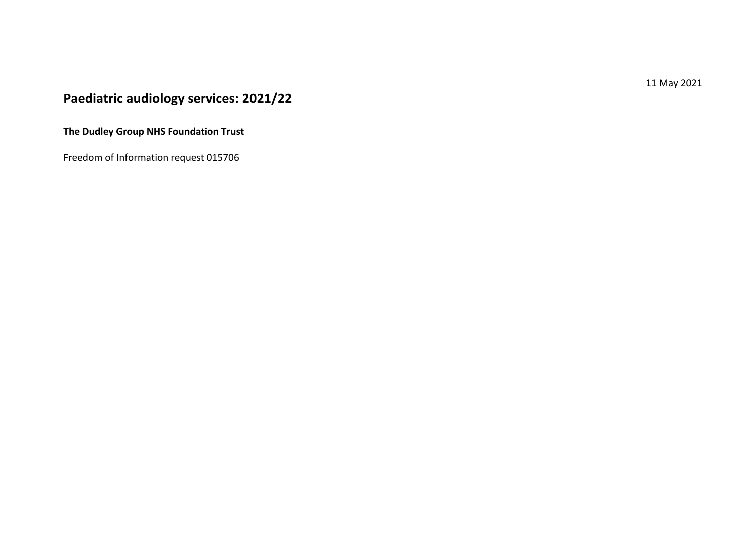11 May 2021

# **Paediatric audiology services: 2021/22**

**The Dudley Group NHS Foundation Trust**

Freedom of Information request 015706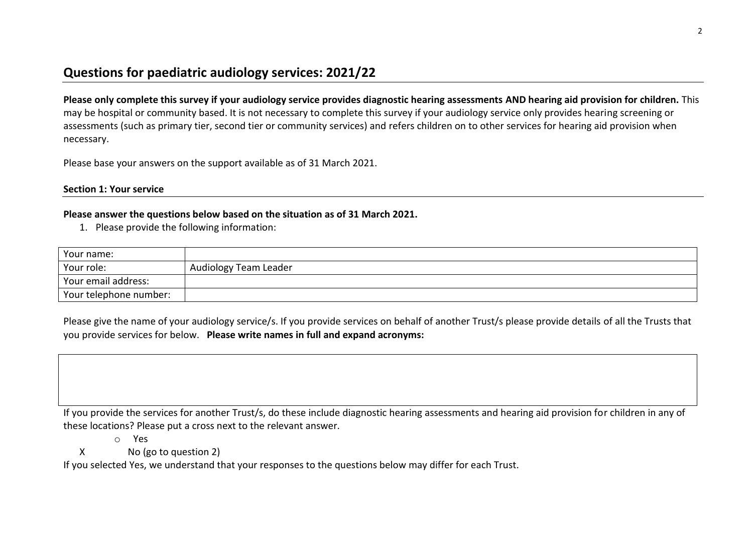# **Questions for paediatric audiology services: 2021/22**

**Please only complete this survey if your audiology service provides diagnostic hearing assessments AND hearing aid provision for children.** This may be hospital or community based. It is not necessary to complete this survey if your audiology service only provides hearing screening or assessments (such as primary tier, second tier or community services) and refers children on to other services for hearing aid provision when necessary.

Please base your answers on the support available as of 31 March 2021.

#### **Section 1: Your service**

### **Please answer the questions below based on the situation as of 31 March 2021.**

1. Please provide the following information:

| Your name:                          |                       |
|-------------------------------------|-----------------------|
| Your role:                          | Audiology Team Leader |
| Vour email address:                 |                       |
| <sup>1</sup> Your telephone number: |                       |

Please give the name of your audiology service/s. If you provide services on behalf of another Trust/s please provide details of all the Trusts that you provide services for below. **Please write names in full and expand acronyms:**

If you provide the services for another Trust/s, do these include diagnostic hearing assessments and hearing aid provision for children in any of these locations? Please put a cross next to the relevant answer.

o Yes

X No (go to question 2)

If you selected Yes, we understand that your responses to the questions below may differ for each Trust.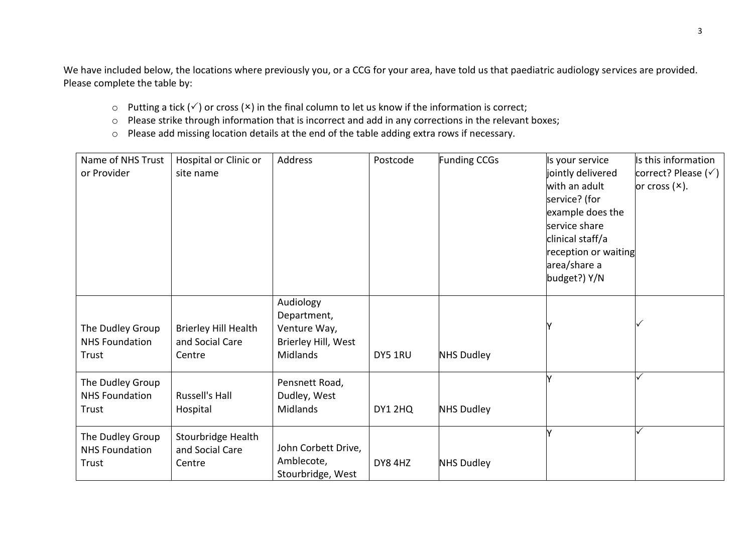We have included below, the locations where previously you, or a CCG for your area, have told us that paediatric audiology services are provided. Please complete the table by:

- $\circ$  Putting a tick ( $\checkmark$ ) or cross ( $\checkmark$ ) in the final column to let us know if the information is correct;
- o Please strike through information that is incorrect and add in any corrections in the relevant boxes;
- o Please add missing location details at the end of the table adding extra rows if necessary.

| Name of NHS Trust<br>or Provider                   | Hospital or Clinic or<br>site name                | Address                                                                            | Postcode | <b>Funding CCGs</b> | Is your service<br>jointly delivered<br>with an adult<br>service? (for<br>example does the<br>service share<br>clinical staff/a<br>reception or waiting<br>area/share a<br>budget?) Y/N | Is this information<br>correct? Please $(\check{v})$<br>or cross $(x)$ . |
|----------------------------------------------------|---------------------------------------------------|------------------------------------------------------------------------------------|----------|---------------------|-----------------------------------------------------------------------------------------------------------------------------------------------------------------------------------------|--------------------------------------------------------------------------|
| The Dudley Group<br><b>NHS Foundation</b><br>Trust | Brierley Hill Health<br>and Social Care<br>Centre | Audiology<br>Department,<br>Venture Way,<br>Brierley Hill, West<br><b>Midlands</b> | DY5 1RU  | <b>NHS Dudley</b>   |                                                                                                                                                                                         |                                                                          |
| The Dudley Group<br><b>NHS Foundation</b><br>Trust | Russell's Hall<br>Hospital                        | Pensnett Road,<br>Dudley, West<br><b>Midlands</b>                                  | DY1 2HQ  | <b>NHS Dudley</b>   |                                                                                                                                                                                         |                                                                          |
| The Dudley Group<br><b>NHS Foundation</b><br>Trust | Stourbridge Health<br>and Social Care<br>Centre   | John Corbett Drive,<br>Amblecote,<br>Stourbridge, West                             | DY8 4HZ  | <b>NHS Dudley</b>   |                                                                                                                                                                                         |                                                                          |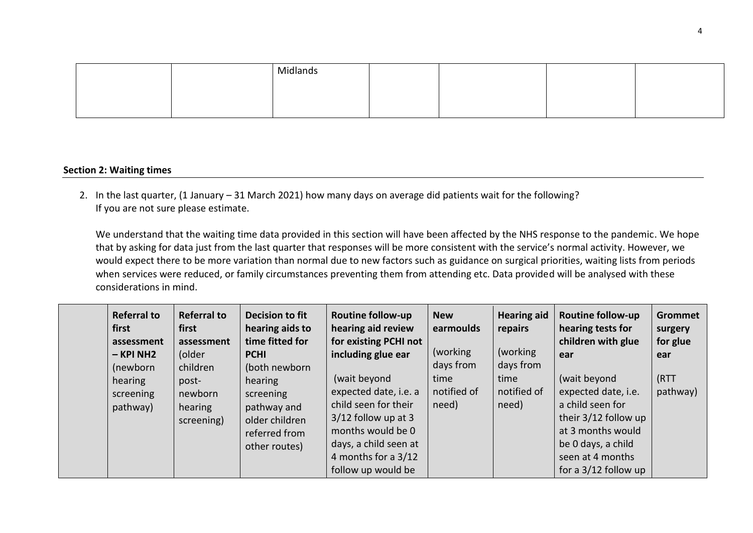|  | Midlano <sub>-</sub> |  |  |
|--|----------------------|--|--|
|  |                      |  |  |
|  |                      |  |  |

#### **Section 2: Waiting times**

2. In the last quarter, (1 January – 31 March 2021) how many days on average did patients wait for the following? If you are not sure please estimate.

We understand that the waiting time data provided in this section will have been affected by the NHS response to the pandemic. We hope that by asking for data just from the last quarter that responses will be more consistent with the service's normal activity. However, we would expect there to be more variation than normal due to new factors such as guidance on surgical priorities, waiting lists from periods when services were reduced, or family circumstances preventing them from attending etc. Data provided will be analysed with these considerations in mind.

| <b>Referral to</b><br>first<br>assessment<br>$-$ KPI NH2<br>(newborn<br>hearing<br>screening<br>pathway) | <b>Referral to</b><br>first<br>assessment<br>(older<br>children<br>post-<br>newborn<br>hearing<br>screening) | Decision to fit<br>hearing aids to<br>time fitted for<br><b>PCHI</b><br>(both newborn<br>hearing<br>screening<br>pathway and<br>older children<br>referred from | <b>Routine follow-up</b><br>hearing aid review<br>for existing PCHI not<br>including glue ear<br>(wait beyond<br>expected date, i.e. a<br>child seen for their<br>$3/12$ follow up at 3<br>months would be 0 | <b>New</b><br>earmoulds<br>(working)<br>days from<br>time<br>notified of<br>need) | <b>Hearing aid</b><br>repairs<br>(working)<br>days from<br>time<br>notified of<br>need) | <b>Routine follow-up</b><br>hearing tests for<br>children with glue<br>ear<br>(wait beyond<br>expected date, i.e.<br>a child seen for<br>their 3/12 follow up<br>at 3 months would | Grommet<br>surgery<br>for glue<br>ear<br>(RTT<br>pathway) |
|----------------------------------------------------------------------------------------------------------|--------------------------------------------------------------------------------------------------------------|-----------------------------------------------------------------------------------------------------------------------------------------------------------------|--------------------------------------------------------------------------------------------------------------------------------------------------------------------------------------------------------------|-----------------------------------------------------------------------------------|-----------------------------------------------------------------------------------------|------------------------------------------------------------------------------------------------------------------------------------------------------------------------------------|-----------------------------------------------------------|
|                                                                                                          |                                                                                                              | other routes)                                                                                                                                                   | days, a child seen at                                                                                                                                                                                        |                                                                                   |                                                                                         | be 0 days, a child                                                                                                                                                                 |                                                           |
|                                                                                                          |                                                                                                              |                                                                                                                                                                 | 4 months for a 3/12                                                                                                                                                                                          |                                                                                   |                                                                                         | seen at 4 months                                                                                                                                                                   |                                                           |
|                                                                                                          |                                                                                                              |                                                                                                                                                                 | follow up would be                                                                                                                                                                                           |                                                                                   |                                                                                         | for a $3/12$ follow up                                                                                                                                                             |                                                           |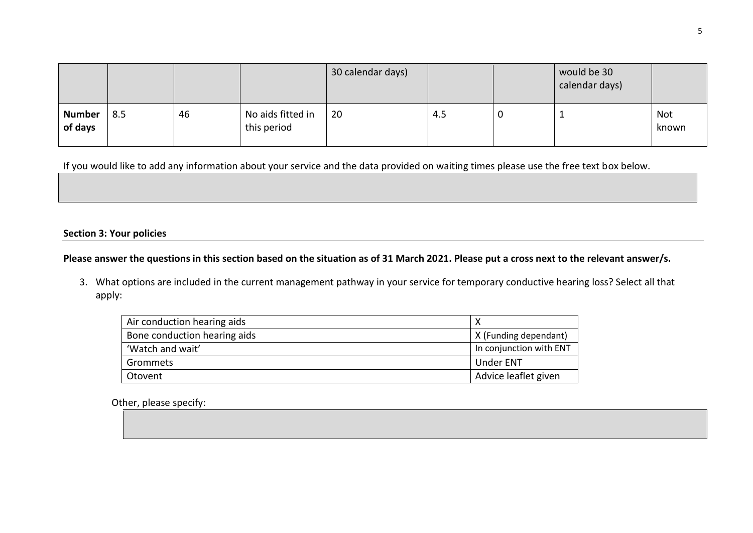|                          |     |    |                                  | 30 calendar days) |     | would be 30<br>calendar days) |                     |
|--------------------------|-----|----|----------------------------------|-------------------|-----|-------------------------------|---------------------|
| <b>Number</b><br>of days | 8.5 | 46 | No aids fitted in<br>this period | 20                | 4.5 |                               | <b>Not</b><br>known |

If you would like to add any information about your service and the data provided on waiting times please use the free text box below.

## **Section 3: Your policies**

## **Please answer the questions in this section based on the situation as of 31 March 2021. Please put a cross next to the relevant answer/s.**

3. What options are included in the current management pathway in your service for temporary conductive hearing loss? Select all that apply:

| Air conduction hearing aids  |                         |
|------------------------------|-------------------------|
| Bone conduction hearing aids | X (Funding dependant)   |
| 'Watch and wait'             | In conjunction with ENT |
| Grommets                     | <b>Under ENT</b>        |
| Otovent                      | Advice leaflet given    |

Other, please specify: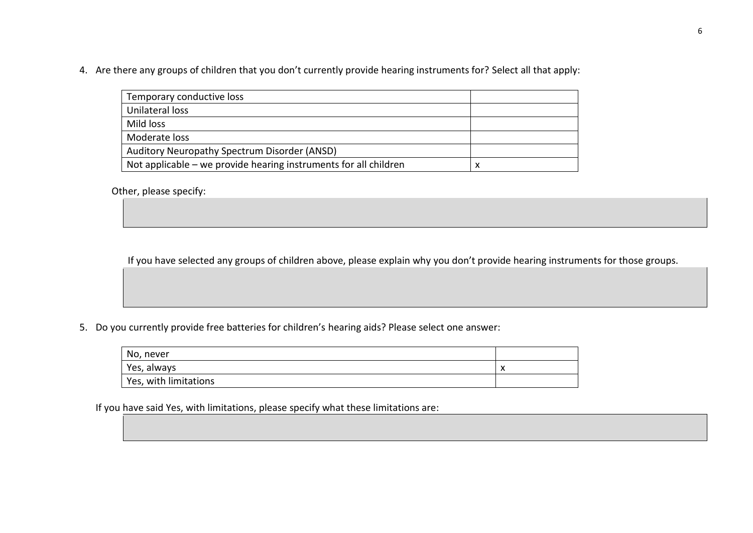4. Are there any groups of children that you don't currently provide hearing instruments for? Select all that apply:

| Temporary conductive loss                                        |   |
|------------------------------------------------------------------|---|
| Unilateral loss                                                  |   |
| Mild loss                                                        |   |
| Moderate loss                                                    |   |
| Auditory Neuropathy Spectrum Disorder (ANSD)                     |   |
| Not applicable – we provide hearing instruments for all children | х |

Other, please specify:

If you have selected any groups of children above, please explain why you don't provide hearing instruments for those groups.

5. Do you currently provide free batteries for children's hearing aids? Please select one answer:

| No, never             |                    |
|-----------------------|--------------------|
| Yes, always           | $\mathbf{\Lambda}$ |
| Yes, with limitations |                    |

If you have said Yes, with limitations, please specify what these limitations are: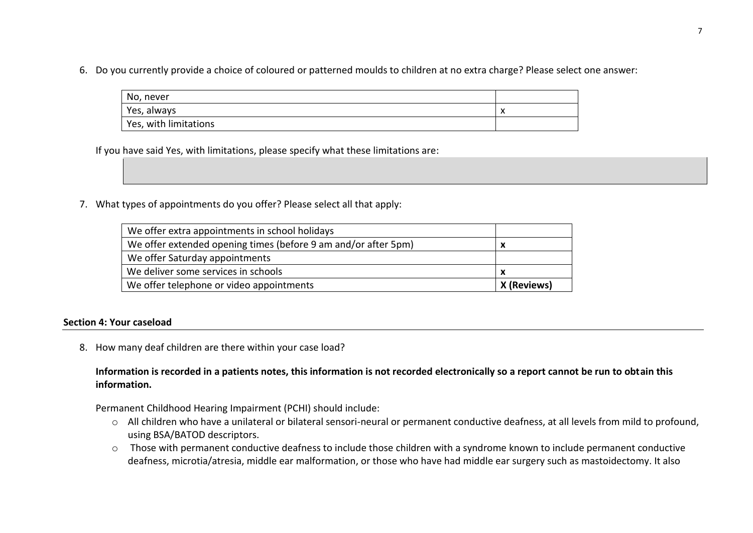6. Do you currently provide a choice of coloured or patterned moulds to children at no extra charge? Please select one answer:

| No, never             |                   |
|-----------------------|-------------------|
| Yes, always           | $\checkmark$<br>↗ |
| Yes, with limitations |                   |

If you have said Yes, with limitations, please specify what these limitations are:

7. What types of appointments do you offer? Please select all that apply:

| We offer extra appointments in school holidays                 |             |
|----------------------------------------------------------------|-------------|
| We offer extended opening times (before 9 am and/or after 5pm) | x           |
| We offer Saturday appointments                                 |             |
| We deliver some services in schools                            |             |
| We offer telephone or video appointments                       | X (Reviews) |

## **Section 4: Your caseload**

8. How many deaf children are there within your case load?

**Information is recorded in a patients notes, this information is not recorded electronically so a report cannot be run to obtain this information.**

Permanent Childhood Hearing Impairment (PCHI) should include:

- o All children who have a unilateral or bilateral sensori-neural or permanent conductive deafness, at all levels from mild to profound, using BSA/BATOD descriptors.
- o Those with permanent conductive deafness to include those children with a syndrome known to include permanent conductive deafness, microtia/atresia, middle ear malformation, or those who have had middle ear surgery such as mastoidectomy. It also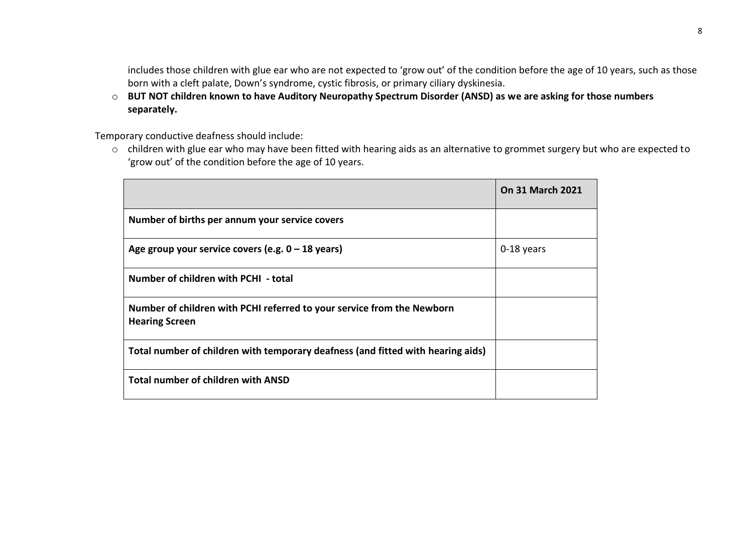includes those children with glue ear who are not expected to 'grow out' of the condition before the age of 10 years, such as those born with a cleft palate, Down's syndrome, cystic fibrosis, or primary ciliary dyskinesia.

o **BUT NOT children known to have Auditory Neuropathy Spectrum Disorder (ANSD) as we are asking for those numbers separately.**

Temporary conductive deafness should include:

o children with glue ear who may have been fitted with hearing aids as an alternative to grommet surgery but who are expected to 'grow out' of the condition before the age of 10 years.

|                                                                                                 | <b>On 31 March 2021</b> |
|-------------------------------------------------------------------------------------------------|-------------------------|
| Number of births per annum your service covers                                                  |                         |
| Age group your service covers (e.g. $0 - 18$ years)                                             | 0-18 years              |
| Number of children with PCHI - total                                                            |                         |
| Number of children with PCHI referred to your service from the Newborn<br><b>Hearing Screen</b> |                         |
| Total number of children with temporary deafness (and fitted with hearing aids)                 |                         |
| <b>Total number of children with ANSD</b>                                                       |                         |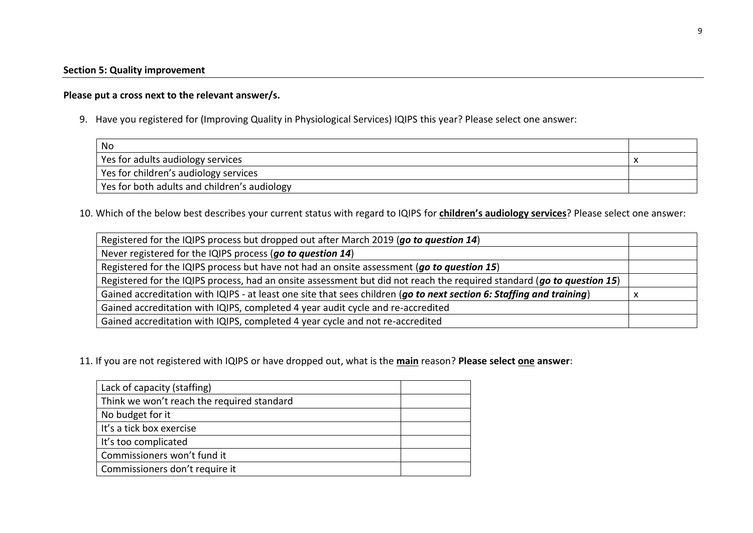## **Please put a cross next to the relevant answer/s.**

9. Have you registered for (Improving Quality in Physiological Services) IQIPS this year? Please select one answer:

| No                                           |  |
|----------------------------------------------|--|
| Yes for adults audiology services            |  |
| Yes for children's audiology services        |  |
| Yes for both adults and children's audiology |  |

10. Which of the below best describes your current status with regard to IQIPS for **children's audiology services**? Please select one answer:

| Registered for the IQIPS process but dropped out after March 2019 (go to question 14)                                  |  |
|------------------------------------------------------------------------------------------------------------------------|--|
| Never registered for the IQIPS process (go to question 14)                                                             |  |
| Registered for the IQIPS process but have not had an onsite assessment (go to question 15)                             |  |
| Registered for the IQIPS process, had an onsite assessment but did not reach the required standard (go to question 15) |  |
| Gained accreditation with IQIPS - at least one site that sees children (go to next section 6: Staffing and training)   |  |
| Gained accreditation with IQIPS, completed 4 year audit cycle and re-accredited                                        |  |
| Gained accreditation with IQIPS, completed 4 year cycle and not re-accredited                                          |  |

11. If you are not registered with IQIPS or have dropped out, what is the **main** reason? **Please select one answer**:

| Lack of capacity (staffing)                |  |
|--------------------------------------------|--|
| Think we won't reach the required standard |  |
| No budget for it                           |  |
| It's a tick box exercise                   |  |
| It's too complicated                       |  |
| Commissioners won't fund it                |  |
| Commissioners don't require it             |  |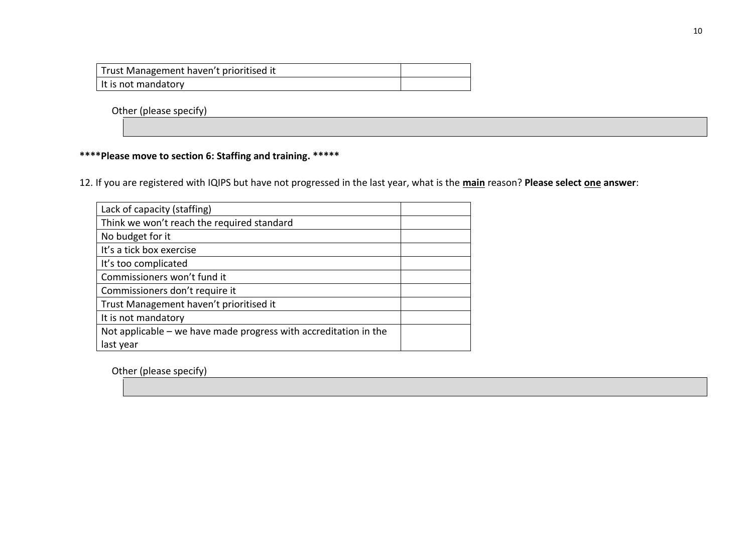| Trust Management haven't prioritised it |  |
|-----------------------------------------|--|
| It is not mandatory                     |  |

Other (please specify)

## **\*\*\*\*Please move to section 6: Staffing and training. \*\*\*\*\***

12. If you are registered with IQIPS but have not progressed in the last year, what is the **main** reason? **Please select one answer**:

| Lack of capacity (staffing)                                      |  |
|------------------------------------------------------------------|--|
| Think we won't reach the required standard                       |  |
| No budget for it                                                 |  |
| It's a tick box exercise                                         |  |
| It's too complicated                                             |  |
| Commissioners won't fund it                                      |  |
| Commissioners don't require it                                   |  |
| Trust Management haven't prioritised it                          |  |
| It is not mandatory                                              |  |
| Not applicable – we have made progress with accreditation in the |  |
| last year                                                        |  |

Other (please specify)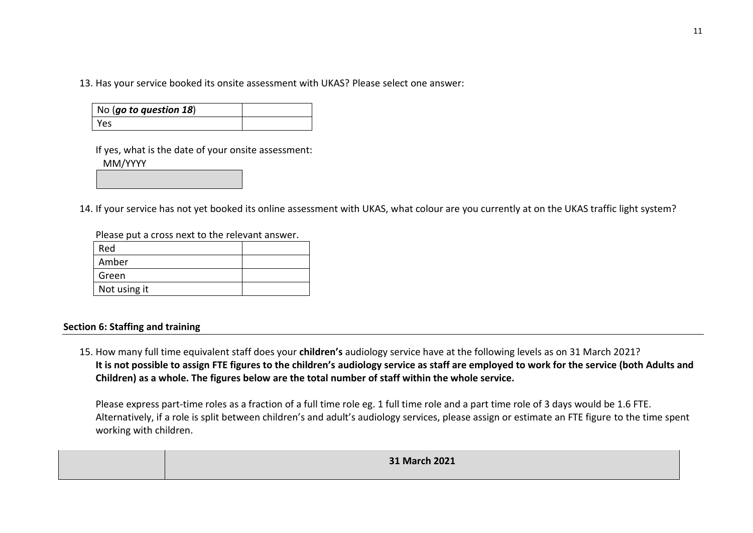13. Has your service booked its onsite assessment with UKAS? Please select one answer:

| $\vert$ No (go to question 18) |  |
|--------------------------------|--|
| l Yes                          |  |

If yes, what is the date of your onsite assessment: MM/YYYY

14. If your service has not yet booked its online assessment with UKAS, what colour are you currently at on the UKAS traffic light system?

Please put a cross next to the relevant answer.

| Red          |  |
|--------------|--|
| Amber        |  |
| Green        |  |
| Not using it |  |

### **Section 6: Staffing and training**

15. How many full time equivalent staff does your **children's** audiology service have at the following levels as on 31 March 2021? **It is not possible to assign FTE figures to the children's audiology service as staff are employed to work for the service (both Adults and Children) as a whole. The figures below are the total number of staff within the whole service.**

Please express part-time roles as a fraction of a full time role eg. 1 full time role and a part time role of 3 days would be 1.6 FTE. Alternatively, if a role is split between children's and adult's audiology services, please assign or estimate an FTE figure to the time spent working with children.

| 31 March 2021 |
|---------------|
|               |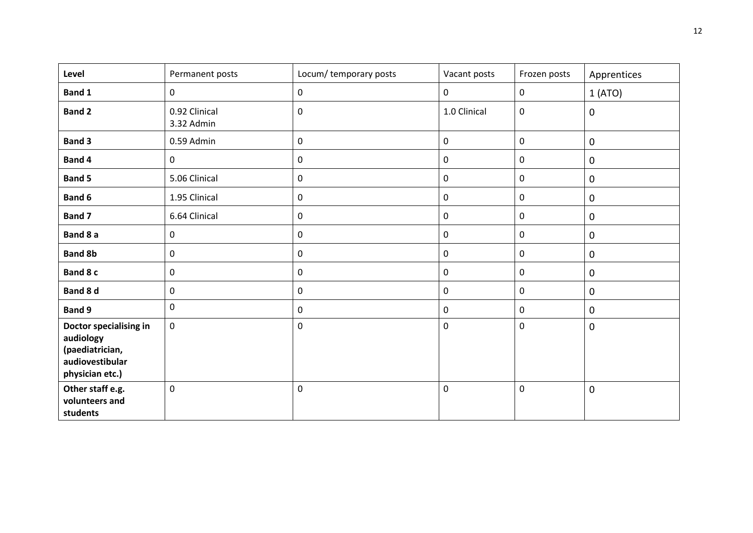| Level                                                                                        | Permanent posts             | Locum/ temporary posts | Vacant posts | Frozen posts | Apprentices |
|----------------------------------------------------------------------------------------------|-----------------------------|------------------------|--------------|--------------|-------------|
| Band 1                                                                                       | $\mathbf 0$                 | $\mathbf 0$            | $\pmb{0}$    | $\mathbf 0$  | 1(ATO)      |
| <b>Band 2</b>                                                                                | 0.92 Clinical<br>3.32 Admin | $\mathbf 0$            | 1.0 Clinical | $\mathsf 0$  | $\pmb{0}$   |
| <b>Band 3</b>                                                                                | 0.59 Admin                  | $\mathbf 0$            | $\pmb{0}$    | $\mathsf 0$  | $\pmb{0}$   |
| Band 4                                                                                       | $\mathbf 0$                 | $\mathbf 0$            | $\pmb{0}$    | $\mathsf 0$  | 0           |
| <b>Band 5</b>                                                                                | 5.06 Clinical               | $\mathbf 0$            | $\pmb{0}$    | $\mathsf 0$  | $\pmb{0}$   |
| Band 6                                                                                       | 1.95 Clinical               | $\mathsf{O}\xspace$    | $\pmb{0}$    | $\mathbf 0$  | $\pmb{0}$   |
| Band 7                                                                                       | 6.64 Clinical               | $\mathbf 0$            | $\pmb{0}$    | $\mathsf 0$  | $\pmb{0}$   |
| Band 8 a                                                                                     | 0                           | $\mathbf 0$            | $\pmb{0}$    | $\mathsf 0$  | $\pmb{0}$   |
| <b>Band 8b</b>                                                                               | 0                           | $\mathbf 0$            | $\pmb{0}$    | $\mathsf 0$  | $\mathbf 0$ |
| Band 8 c                                                                                     | 0                           | $\mathbf 0$            | $\pmb{0}$    | $\mathsf 0$  | $\pmb{0}$   |
| Band 8 d                                                                                     | 0                           | $\mathbf 0$            | $\pmb{0}$    | $\mathsf 0$  | $\mathbf 0$ |
| <b>Band 9</b>                                                                                | 0                           | $\mathbf 0$            | $\pmb{0}$    | $\mathsf 0$  | $\pmb{0}$   |
| Doctor specialising in<br>audiology<br>(paediatrician,<br>audiovestibular<br>physician etc.) | 0                           | $\mathsf 0$            | $\mathbf 0$  | $\mathsf 0$  | $\pmb{0}$   |
| Other staff e.g.<br>volunteers and<br>students                                               | 0                           | $\mathbf 0$            | $\mathbf 0$  | $\mathbf 0$  | $\pmb{0}$   |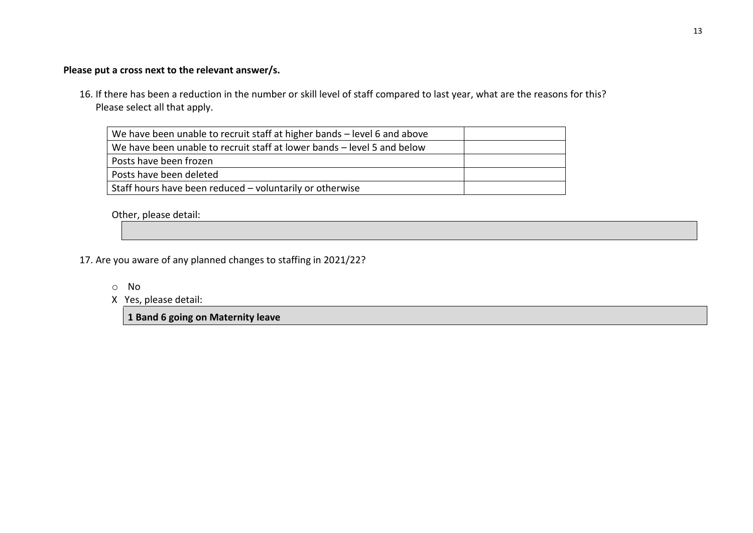## **Please put a cross next to the relevant answer/s.**

16. If there has been a reduction in the number or skill level of staff compared to last year, what are the reasons for this? Please select all that apply.

| We have been unable to recruit staff at higher bands – level 6 and above |  |
|--------------------------------------------------------------------------|--|
| We have been unable to recruit staff at lower bands – level 5 and below  |  |
| Posts have been frozen                                                   |  |
| Posts have been deleted                                                  |  |
| Staff hours have been reduced - voluntarily or otherwise                 |  |

Other, please detail:

- 17. Are you aware of any planned changes to staffing in 2021/22?
	- o No
	- X Yes, please detail:

**1 Band 6 going on Maternity leave**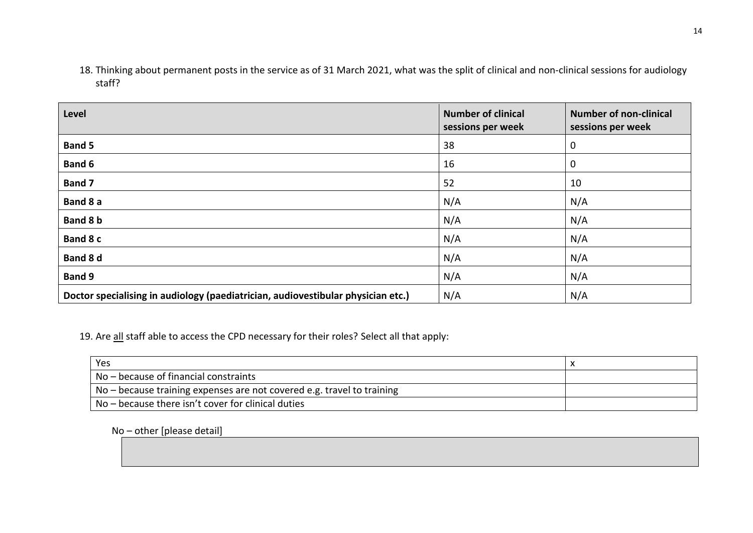18. Thinking about permanent posts in the service as of 31 March 2021, what was the split of clinical and non-clinical sessions for audiology staff?

| Level                                                                            | <b>Number of clinical</b><br>sessions per week | <b>Number of non-clinical</b><br>sessions per week |
|----------------------------------------------------------------------------------|------------------------------------------------|----------------------------------------------------|
| <b>Band 5</b>                                                                    | 38                                             | $\mathbf 0$                                        |
| <b>Band 6</b>                                                                    | 16                                             | $\mathbf 0$                                        |
| Band 7                                                                           | 52                                             | 10                                                 |
| Band 8 a                                                                         | N/A                                            | N/A                                                |
| Band 8 b                                                                         | N/A                                            | N/A                                                |
| Band 8 c                                                                         | N/A                                            | N/A                                                |
| Band 8 d                                                                         | N/A                                            | N/A                                                |
| <b>Band 9</b>                                                                    | N/A                                            | N/A                                                |
| Doctor specialising in audiology (paediatrician, audiovestibular physician etc.) | N/A                                            | N/A                                                |

19. Are all staff able to access the CPD necessary for their roles? Select all that apply:

| Yes                                                                                  |  |
|--------------------------------------------------------------------------------------|--|
| $No - because of financial constraints$                                              |  |
| $\frac{1}{2}$ No – because training expenses are not covered e.g. travel to training |  |
| No – because there isn't cover for clinical duties                                   |  |

No – other [please detail]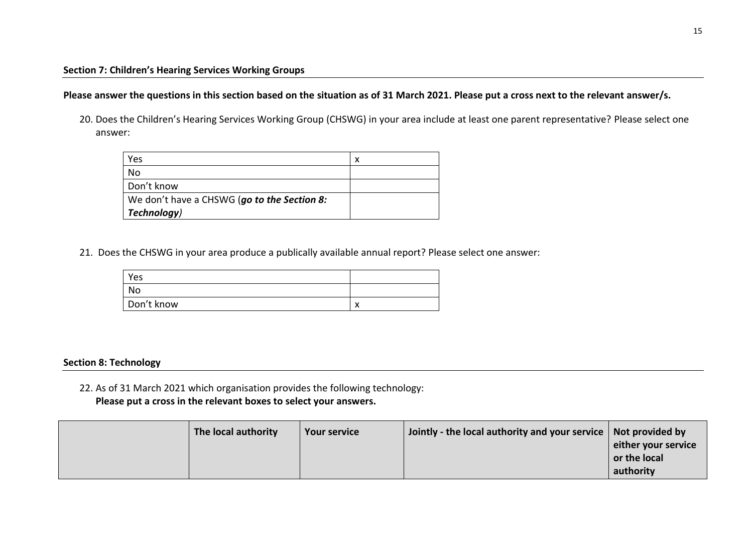## **Please answer the questions in this section based on the situation as of 31 March 2021. Please put a cross next to the relevant answer/s.**

20. Does the Children's Hearing Services Working Group (CHSWG) in your area include at least one parent representative? Please select one answer:

| Yes                                         | x |
|---------------------------------------------|---|
| No                                          |   |
| Don't know                                  |   |
| We don't have a CHSWG (go to the Section 8: |   |
| Technology)                                 |   |

21. Does the CHSWG in your area produce a publically available annual report? Please select one answer:

| Yes        |                               |
|------------|-------------------------------|
| No         |                               |
| Don't know | $\overline{\phantom{a}}$<br>◠ |

#### **Section 8: Technology**

22. As of 31 March 2021 which organisation provides the following technology: **Please put a cross in the relevant boxes to select your answers.** 

| The local authority | <b>Your service</b> | Jointly - the local authority and your service $\vert$ Not provided by |                     |
|---------------------|---------------------|------------------------------------------------------------------------|---------------------|
|                     |                     |                                                                        | either your service |
|                     |                     |                                                                        | or the local        |
|                     |                     |                                                                        | authority           |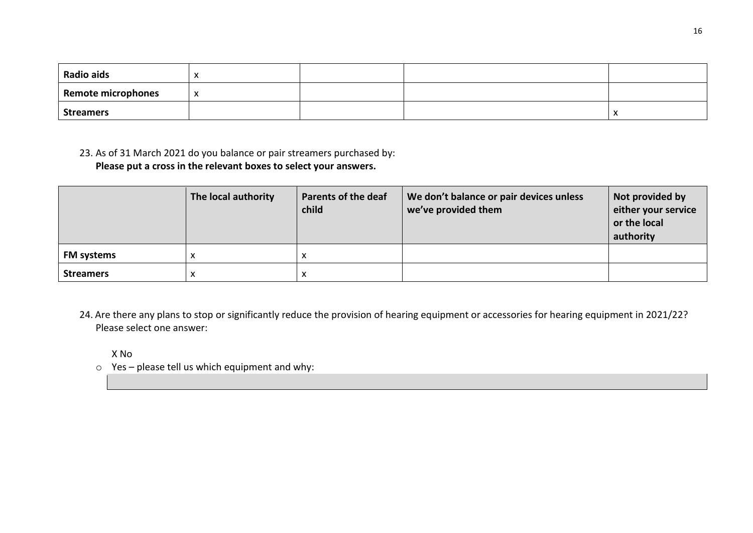| <b>Radio aids</b>  | ↗ |  |        |
|--------------------|---|--|--------|
| Remote microphones | X |  |        |
| <b>Streamers</b>   |   |  | $\sim$ |

23. As of 31 March 2021 do you balance or pair streamers purchased by: **Please put a cross in the relevant boxes to select your answers.**

|                   | The local authority | <b>Parents of the deaf</b><br>child | We don't balance or pair devices unless<br>we've provided them | Not provided by<br>either your service<br>or the local<br>authority |
|-------------------|---------------------|-------------------------------------|----------------------------------------------------------------|---------------------------------------------------------------------|
| <b>FM systems</b> |                     | ́                                   |                                                                |                                                                     |
| <b>Streamers</b>  | ◠                   | x                                   |                                                                |                                                                     |

24. Are there any plans to stop or significantly reduce the provision of hearing equipment or accessories for hearing equipment in 2021/22? Please select one answer:

X No

 $\circ$  Yes – please tell us which equipment and why: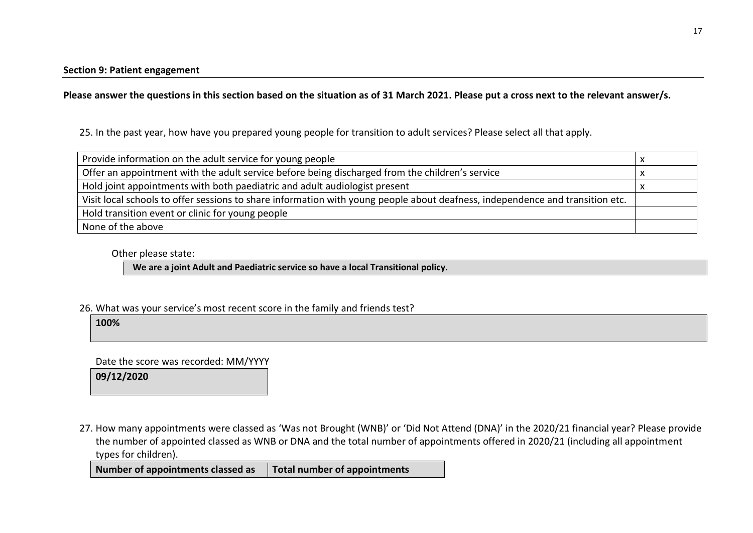**Please answer the questions in this section based on the situation as of 31 March 2021. Please put a cross next to the relevant answer/s.**

25. In the past year, how have you prepared young people for transition to adult services? Please select all that apply.

| Provide information on the adult service for young people                                                                     |  |
|-------------------------------------------------------------------------------------------------------------------------------|--|
| Offer an appointment with the adult service before being discharged from the children's service                               |  |
| Hold joint appointments with both paediatric and adult audiologist present                                                    |  |
| Visit local schools to offer sessions to share information with young people about deafness, independence and transition etc. |  |
| Hold transition event or clinic for young people                                                                              |  |
| None of the above                                                                                                             |  |

Other please state:

**We are a joint Adult and Paediatric service so have a local Transitional policy.** 

26. What was your service's most recent score in the family and friends test?

**100%**

Date the score was recorded: MM/YYYY

**09/12/2020**

27. How many appointments were classed as 'Was not Brought (WNB)' or 'Did Not Attend (DNA)' in the 2020/21 financial year? Please provide the number of appointed classed as WNB or DNA and the total number of appointments offered in 2020/21 (including all appointment types for children).

**Number of appointments classed as Total number of appointments**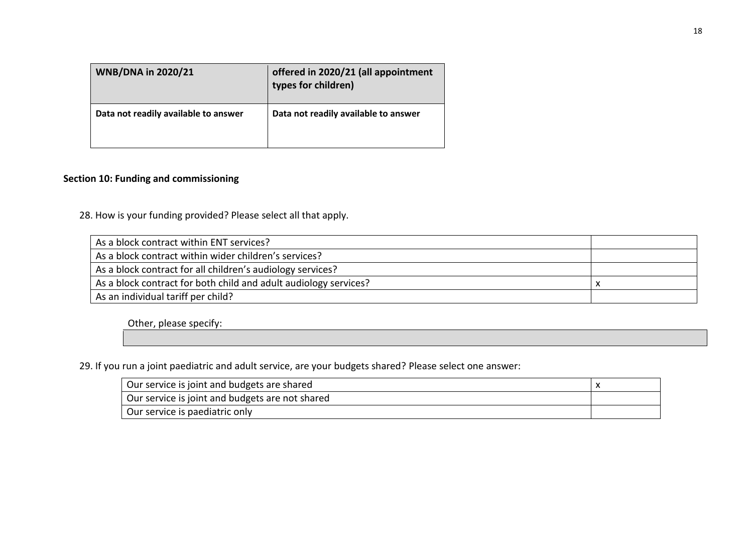| <b>WNB/DNA in 2020/21</b>            | offered in 2020/21 (all appointment<br>types for children) |
|--------------------------------------|------------------------------------------------------------|
| Data not readily available to answer | Data not readily available to answer                       |

## **Section 10: Funding and commissioning**

28. How is your funding provided? Please select all that apply.

| As a block contract within ENT services?                         |  |
|------------------------------------------------------------------|--|
| As a block contract within wider children's services?            |  |
| As a block contract for all children's audiology services?       |  |
| As a block contract for both child and adult audiology services? |  |
| As an individual tariff per child?                               |  |

Other, please specify:

29. If you run a joint paediatric and adult service, are your budgets shared? Please select one answer:

| Our service is joint and budgets are shared     |  |
|-------------------------------------------------|--|
| Our service is joint and budgets are not shared |  |
| Our service is paediatric only                  |  |